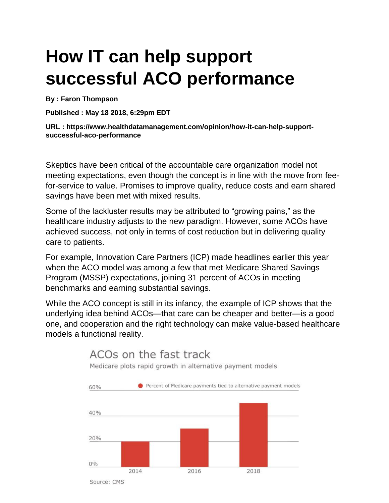# **How IT can help support successful ACO performance**

**By : Faron Thompson**

**Published : May 18 2018, 6:29pm EDT**

**URL : https://www.healthdatamanagement.com/opinion/how-it-can-help-supportsuccessful-aco-performance**

Skeptics have been critical of the accountable care organization model not meeting expectations, even though the concept is in line with the move from feefor-service to value. Promises to improve quality, reduce costs and earn shared savings have been met with mixed results.

Some of the lackluster results may be attributed to "growing pains," as the healthcare industry adjusts to the new paradigm. However, some ACOs have achieved success, not only in terms of cost reduction but in delivering quality care to patients.

For example, Innovation Care Partners (ICP) made headlines earlier this year when the ACO model was among a few that met Medicare Shared Savings Program (MSSP) expectations, joining 31 percent of ACOs in meeting benchmarks and earning substantial savings.

While the ACO concept is still in its infancy, the example of ICP shows that the underlying idea behind ACOs—that care can be cheaper and better—is a good one, and cooperation and the right technology can make value-based healthcare models a functional reality.



## ACOs on the fast track

Medicare plots rapid growth in alternative payment models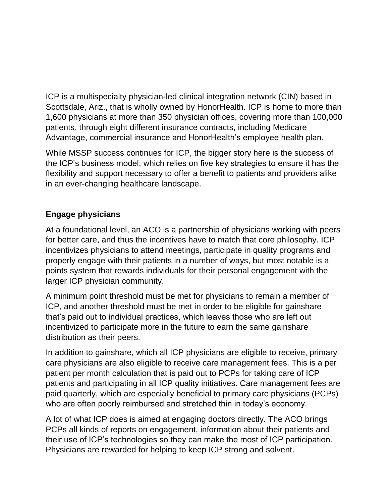ICP is a multispecialty physician-led clinical integration network (CIN) based in Scottsdale, Ariz., that is wholly owned by HonorHealth. ICP is home to more than 1,600 physicians at more than 350 physician offices, covering more than 100,000 patients, through eight different insurance contracts, including Medicare Advantage, commercial insurance and HonorHealth's employee health plan.

While MSSP success continues for ICP, the bigger story here is the success of the ICP's business model, which relies on five key strategies to ensure it has the flexibility and support necessary to offer a benefit to patients and providers alike in an ever-changing healthcare landscape.

### **Engage physicians**

At a foundational level, an ACO is a partnership of physicians working with peers for better care, and thus the incentives have to match that core philosophy. ICP incentivizes physicians to attend meetings, participate in quality programs and properly engage with their patients in a number of ways, but most notable is a points system that rewards individuals for their personal engagement with the larger ICP physician community.

A minimum point threshold must be met for physicians to remain a member of ICP, and another threshold must be met in order to be eligible for gainshare that's paid out to individual practices, which leaves those who are left out incentivized to participate more in the future to earn the same gainshare distribution as their peers.

In addition to gainshare, which all ICP physicians are eligible to receive, primary care physicians are also eligible to receive care management fees. This is a per patient per month calculation that is paid out to PCPs for taking care of ICP patients and participating in all ICP quality initiatives. Care management fees are paid quarterly, which are especially beneficial to primary care physicians (PCPs) who are often poorly reimbursed and stretched thin in today's economy.

A lot of what ICP does is aimed at engaging doctors directly. The ACO brings PCPs all kinds of reports on engagement, information about their patients and their use of ICP's technologies so they can make the most of ICP participation. Physicians are rewarded for helping to keep ICP strong and solvent.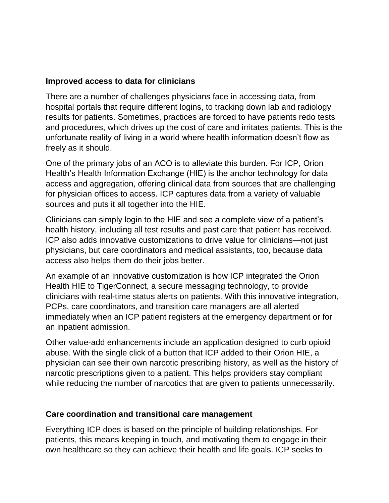#### **Improved access to data for clinicians**

There are a number of challenges physicians face in accessing data, from hospital portals that require different logins, to tracking down lab and radiology results for patients. Sometimes, practices are forced to have patients redo tests and procedures, which drives up the cost of care and irritates patients. This is the unfortunate reality of living in a world where health information doesn't flow as freely as it should.

One of the primary jobs of an ACO is to alleviate this burden. For ICP, Orion Health's Health Information Exchange (HIE) is the anchor technology for data access and aggregation, offering clinical data from sources that are challenging for physician offices to access. ICP captures data from a variety of valuable sources and puts it all together into the HIE.

Clinicians can simply login to the HIE and see a complete view of a patient's health history, including all test results and past care that patient has received. ICP also adds innovative customizations to drive value for clinicians—not just physicians, but care coordinators and medical assistants, too, because data access also helps them do their jobs better.

An example of an innovative customization is how ICP integrated the Orion Health HIE to TigerConnect, a secure messaging technology, to provide clinicians with real-time status alerts on patients. With this innovative integration, PCPs, care coordinators, and transition care managers are all alerted immediately when an ICP patient registers at the emergency department or for an inpatient admission.

Other value-add enhancements include an application designed to curb opioid abuse. With the single click of a button that ICP added to their Orion HIE, a physician can see their own narcotic prescribing history, as well as the history of narcotic prescriptions given to a patient. This helps providers stay compliant while reducing the number of narcotics that are given to patients unnecessarily.

#### **Care coordination and transitional care management**

Everything ICP does is based on the principle of building relationships. For patients, this means keeping in touch, and motivating them to engage in their own healthcare so they can achieve their health and life goals. ICP seeks to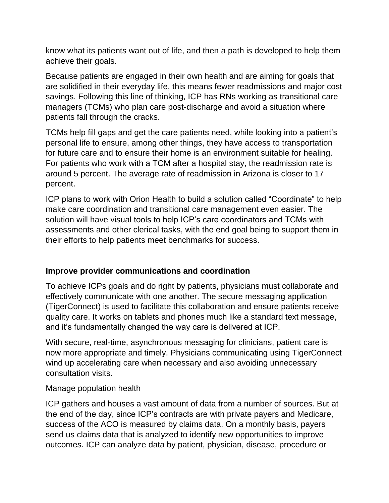know what its patients want out of life, and then a path is developed to help them achieve their goals.

Because patients are engaged in their own health and are aiming for goals that are solidified in their everyday life, this means fewer readmissions and major cost savings. Following this line of thinking, ICP has RNs working as transitional care managers (TCMs) who plan care post-discharge and avoid a situation where patients fall through the cracks.

TCMs help fill gaps and get the care patients need, while looking into a patient's personal life to ensure, among other things, they have access to transportation for future care and to ensure their home is an environment suitable for healing. For patients who work with a TCM after a hospital stay, the readmission rate is around 5 percent. The average rate of readmission in Arizona is closer to 17 percent.

ICP plans to work with Orion Health to build a solution called "Coordinate" to help make care coordination and transitional care management even easier. The solution will have visual tools to help ICP's care coordinators and TCMs with assessments and other clerical tasks, with the end goal being to support them in their efforts to help patients meet benchmarks for success.

#### **Improve provider communications and coordination**

To achieve ICPs goals and do right by patients, physicians must collaborate and effectively communicate with one another. The secure messaging application (TigerConnect) is used to facilitate this collaboration and ensure patients receive quality care. It works on tablets and phones much like a standard text message, and it's fundamentally changed the way care is delivered at ICP.

With secure, real-time, asynchronous messaging for clinicians, patient care is now more appropriate and timely. Physicians communicating using TigerConnect wind up accelerating care when necessary and also avoiding unnecessary consultation visits.

Manage population health

ICP gathers and houses a vast amount of data from a number of sources. But at the end of the day, since ICP's contracts are with private payers and Medicare, success of the ACO is measured by claims data. On a monthly basis, payers send us claims data that is analyzed to identify new opportunities to improve outcomes. ICP can analyze data by patient, physician, disease, procedure or